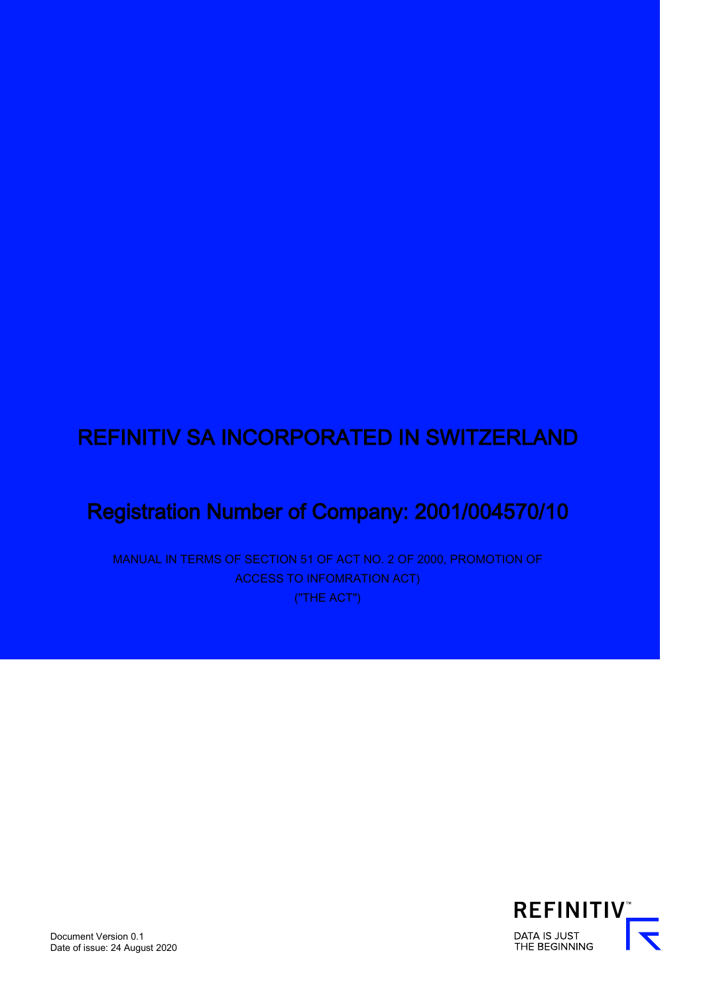# REFINITIV SA INCORPORATED IN SWITZERLAND

# Registration Number of Company: 2001/004570/10

MANUAL IN TERMS OF SECTION 51 OF ACT NO. 2 OF 2000, PROMOTION OF ACCESS TO INFOMRATION ACT) ("THE ACT")

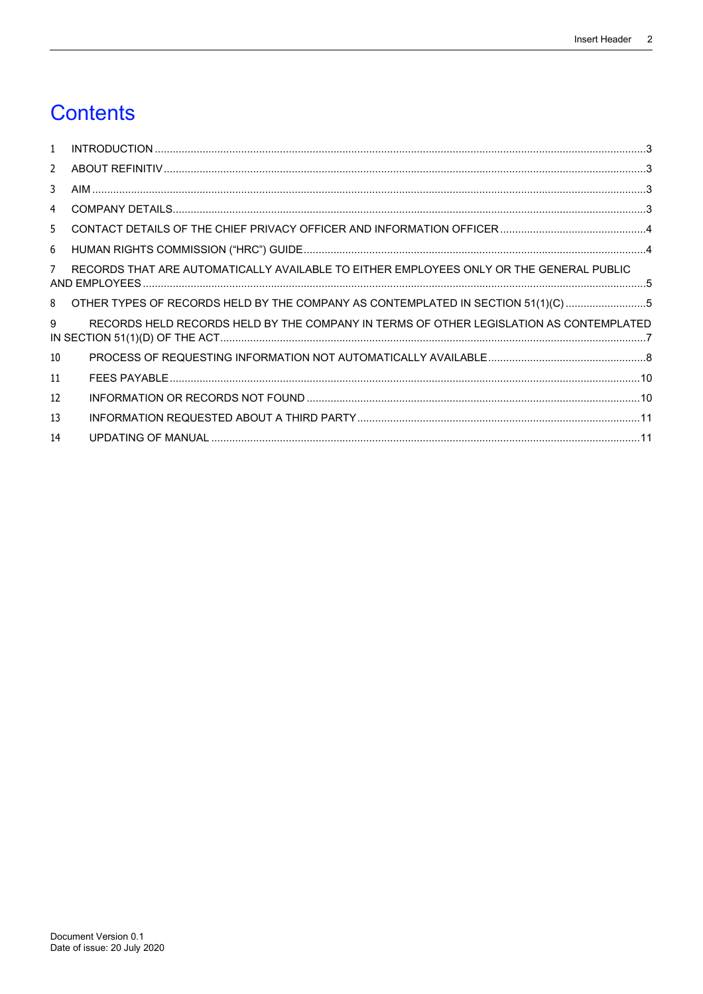# **Contents**

| $\mathbf{1}$      |                                                                                         |  |
|-------------------|-----------------------------------------------------------------------------------------|--|
| 2                 |                                                                                         |  |
| 3                 |                                                                                         |  |
| 4                 |                                                                                         |  |
| 5.                |                                                                                         |  |
| 6                 |                                                                                         |  |
| 7                 | RECORDS THAT ARE AUTOMATICALLY AVAILABLE TO EITHER EMPLOYEES ONLY OR THE GENERAL PUBLIC |  |
| 8                 | OTHER TYPES OF RECORDS HELD BY THE COMPANY AS CONTEMPLATED IN SECTION 51(1)(C) 5        |  |
| 9                 | RECORDS HELD RECORDS HELD BY THE COMPANY IN TERMS OF OTHER LEGISLATION AS CONTEMPLATED  |  |
| 10                |                                                                                         |  |
| 11                |                                                                                         |  |
| $12 \overline{ }$ |                                                                                         |  |
| 13                |                                                                                         |  |
| 14                |                                                                                         |  |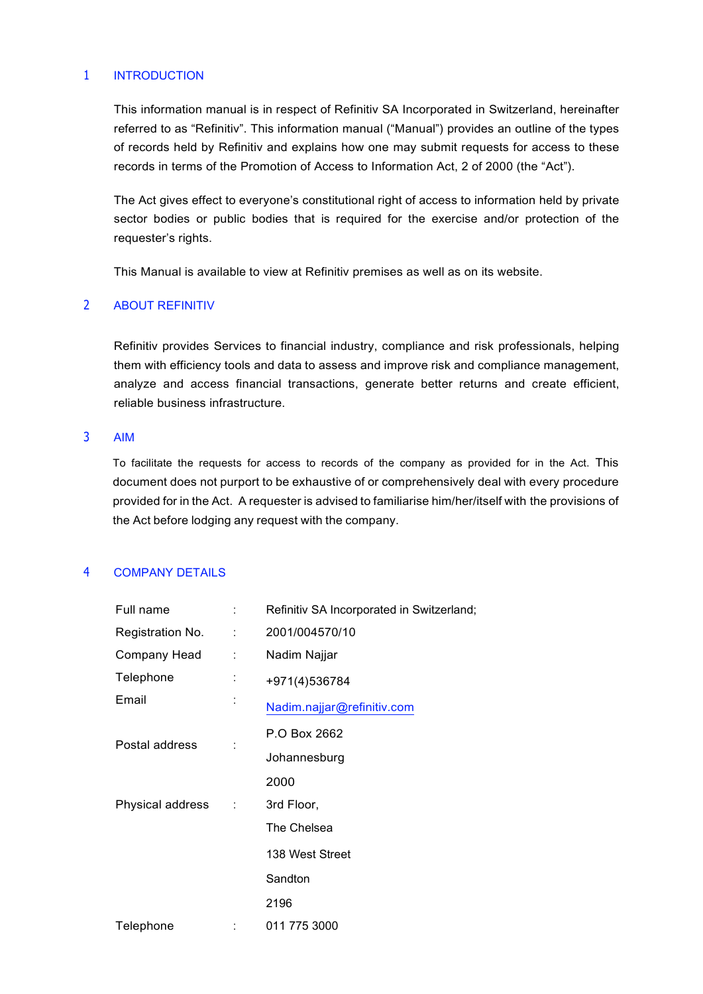## <span id="page-2-0"></span>1 INTRODUCTION

This information manual is in respect of Refinitiv SA Incorporated in Switzerland, hereinafter referred to as "Refinitiv". This information manual ("Manual") provides an outline of the types of records held by Refinitiv and explains how one may submit requests for access to these records in terms of the Promotion of Access to Information Act, 2 of 2000 (the "Act").

The Act gives effect to everyone's constitutional right of access to information held by private sector bodies or public bodies that is required for the exercise and/or protection of the requester's rights.

This Manual is available to view at Refinitiv premises as well as on its website.

#### <span id="page-2-1"></span>2 ABOUT REFINITIV

Refinitiv provides Services to financial industry, compliance and risk professionals, helping them with efficiency tools and data to assess and improve risk and compliance management, analyze and access financial transactions, generate better returns and create efficient, reliable business infrastructure.

#### <span id="page-2-2"></span>3 AIM

To facilitate the requests for access to records of the company as provided for in the Act. This document does not purport to be exhaustive of or comprehensively deal with every procedure provided for in the Act. A requester is advised to familiarise him/her/itself with the provisions of the Act before lodging any request with the company.

### <span id="page-2-3"></span>4 COMPANY DETAILS

| Full name        |           | Refinitiv SA Incorporated in Switzerland; |
|------------------|-----------|-------------------------------------------|
| Registration No. | ÷         | 2001/004570/10                            |
| Company Head     | ÷.        | Nadim Najjar                              |
| Telephone        | $\cdot$   | +971(4)536784                             |
| Email            |           | Nadim.najjar@refinitiv.com                |
| Postal address   |           | P.O Box 2662                              |
|                  |           | Johannesburg                              |
|                  |           | 2000                                      |
| Physical address | $\sim$ 1. | 3rd Floor,                                |
|                  |           | The Chelsea                               |
|                  |           | 138 West Street                           |
|                  |           | Sandton                                   |
|                  |           | 2196                                      |
| Telephone        | :         | 011 775 3000                              |
|                  |           |                                           |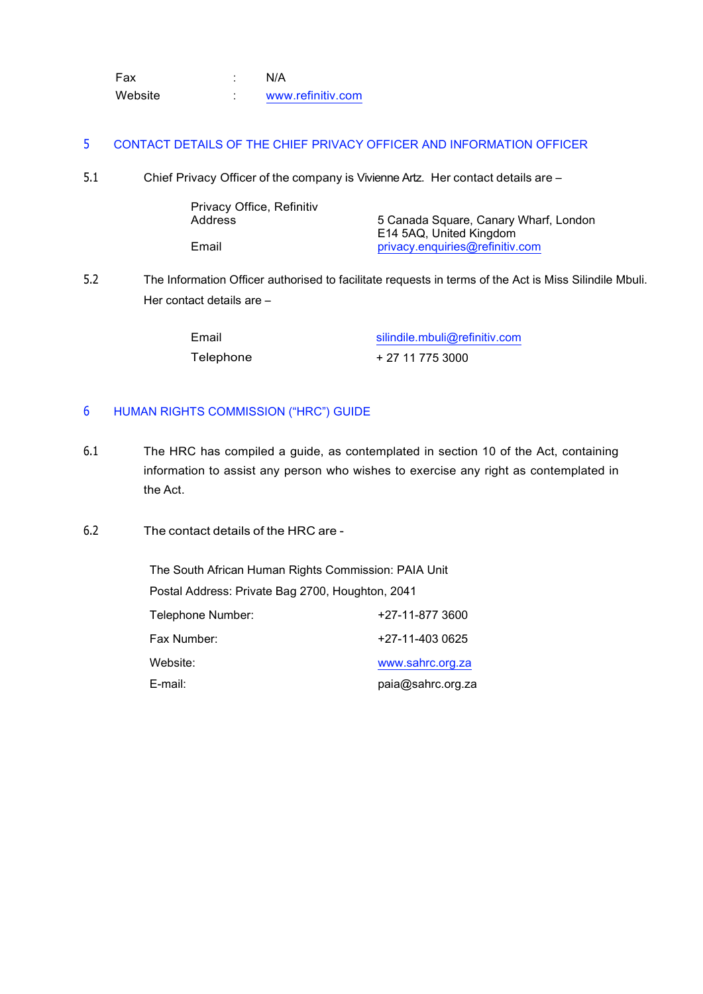| Fax     | N/A               |
|---------|-------------------|
| Website | www.refinitiv.com |

#### <span id="page-3-0"></span>5 CONTACT DETAILS OF THE CHIEF PRIVACY OFFICER AND INFORMATION OFFICER

5.1 Chief Privacy Officer of the company is Vivienne Artz. Her contact details are –

| Privacy Office, Refinitiv |                                       |
|---------------------------|---------------------------------------|
| Address                   | 5 Canada Square, Canary Wharf, London |
|                           | E14 5AQ, United Kingdom               |
| Email                     | privacy.enquiries@refinitiv.com       |

5.2 The Information Officer authorised to facilitate requests in terms of the Act is Miss Silindile Mbuli. Her contact details are –

| Email     | silindile.mbuli@refinitiv.com |  |  |  |  |  |
|-----------|-------------------------------|--|--|--|--|--|
| Telephone | + 27 11 775 3000              |  |  |  |  |  |

## <span id="page-3-1"></span>6 HUMAN RIGHTS COMMISSION ("HRC") GUIDE

- 6.1 The HRC has compiled a guide, as contemplated in section 10 of the Act, containing information to assist any person who wishes to exercise any right as contemplated in the Act.
- 6.2 The contact details of the HRC are -

The South African Human Rights Commission: PAIA Unit Postal Address: Private Bag 2700, Houghton, 2041 Telephone Number: +27-11-877 3600 Fax Number: +27-11-403 0625 Website: E-mail: [www.sahrc.org.za](http://www.sahrc.org.za/) paia@sahrc.org.za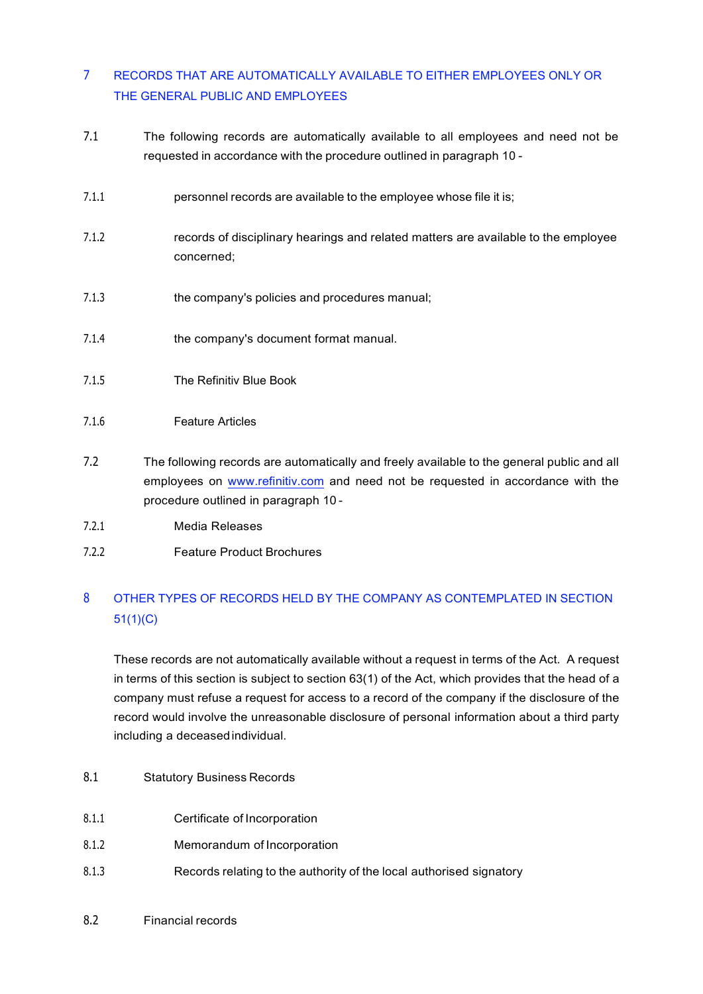## <span id="page-4-0"></span>7 RECORDS THAT ARE AUTOMATICALLY AVAILABLE TO EITHER EMPLOYEES ONLY OR THE GENERAL PUBLIC AND EMPLOYEES

- 7.1 The following records are automatically available to all employees and need not be requested in accordance with the procedure outlined in paragraph [10](#page-7-1) -
- 7.1.1 **personnel records are available to the employee whose file it is;**
- 7.1.2 records of disciplinary hearings and related matters are available to the employee concerned;
- 7.1.3 the company's policies and procedures manual;
- 7.1.4 the company's document format manual.
- 7.1.5 The Refinitiv Blue Book
- 7.1.6 Feature Articles
- 7.2 The following records are automatically and freely available to the general public and all employees on [www.refinitiv.com](http://www.refinitiv.com/) and need not be requested in accordance with the procedure outlined in paragraph [10](#page-7-1) -
- 7.2.1 Media Releases
- 7.2.2 Feature Product Brochures

## <span id="page-4-1"></span>8 OTHER TYPES OF RECORDS HELD BY THE COMPANY AS CONTEMPLATED IN SECTION 51(1)(C)

These records are not automatically available without a request in terms of the Act. A request in terms of this section is subject to section 63(1) of the Act, which provides that the head of a company must refuse a request for access to a record of the company if the disclosure of the record would involve the unreasonable disclosure of personal information about a third party including a deceasedindividual.

- 8.1 Statutory Business Records
- 8.1.1 Certificate of Incorporation
- 8.1.2 Memorandum of Incorporation
- 8.1.3 Records relating to the authority of the local authorised signatory
- 8.2 Financial records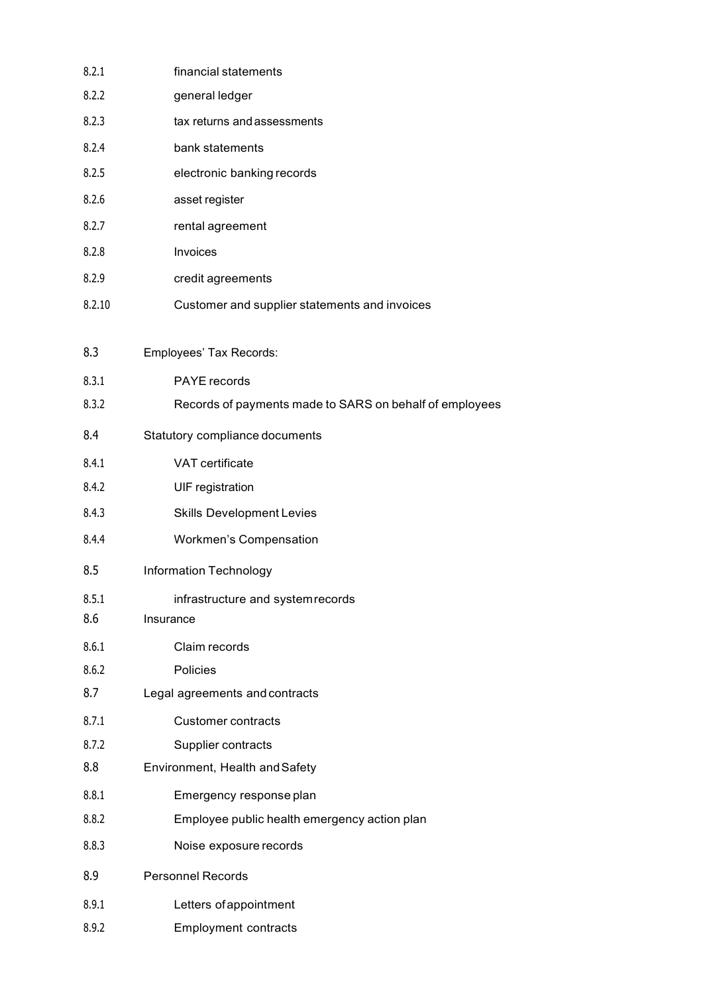| 8.2.1  | financial statements                                    |
|--------|---------------------------------------------------------|
| 8.2.2  | general ledger                                          |
| 8.2.3  | tax returns and assessments                             |
| 8.2.4  | bank statements                                         |
| 8.2.5  | electronic banking records                              |
| 8.2.6  | asset register                                          |
| 8.2.7  | rental agreement                                        |
| 8.2.8  | Invoices                                                |
| 8.2.9  | credit agreements                                       |
| 8.2.10 | Customer and supplier statements and invoices           |
| 8.3    | Employees' Tax Records:                                 |
| 8.3.1  | PAYE records                                            |
| 8.3.2  | Records of payments made to SARS on behalf of employees |
| 8.4    | Statutory compliance documents                          |
| 8.4.1  | VAT certificate                                         |
| 8.4.2  | <b>UIF</b> registration                                 |
| 8.4.3  | <b>Skills Development Levies</b>                        |
| 8.4.4  | <b>Workmen's Compensation</b>                           |
| 8.5    | <b>Information Technology</b>                           |
| 8.5.1  | infrastructure and system records                       |
| 8.6    | Insurance                                               |
| 8.6.1  | Claim records                                           |
| 8.6.2  | Policies                                                |
| 8.7    | Legal agreements and contracts                          |
| 8.7.1  | <b>Customer contracts</b>                               |
| 8.7.2  | Supplier contracts                                      |
| 8.8    | Environment, Health and Safety                          |
| 8.8.1  | Emergency response plan                                 |
| 8.8.2  | Employee public health emergency action plan            |
| 8.8.3  | Noise exposure records                                  |
| 8.9    | Personnel Records                                       |
| 8.9.1  | Letters of appointment                                  |
| 8.9.2  | <b>Employment contracts</b>                             |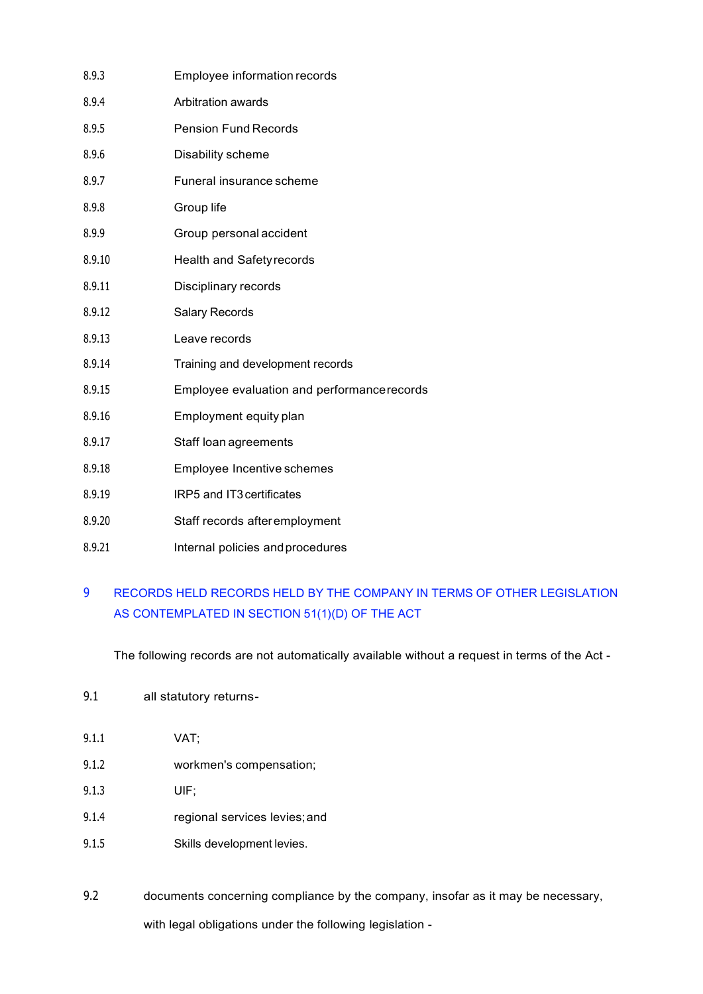| 8.9.3  | Employee information records               |
|--------|--------------------------------------------|
| 8.9.4  | Arbitration awards                         |
| 8.9.5  | <b>Pension Fund Records</b>                |
| 8.9.6  | Disability scheme                          |
| 8.9.7  | Funeral insurance scheme                   |
| 8.9.8  | Group life                                 |
| 8.9.9  | Group personal accident                    |
| 8.9.10 | <b>Health and Safety records</b>           |
| 8.9.11 | Disciplinary records                       |
| 8.9.12 | <b>Salary Records</b>                      |
| 8.9.13 | Leave records                              |
| 8.9.14 | Training and development records           |
| 8.9.15 | Employee evaluation and performancerecords |
| 8.9.16 | Employment equity plan                     |
| 8.9.17 | Staff loan agreements                      |
| 8.9.18 | Employee Incentive schemes                 |
| 8.9.19 | IRP5 and IT3 certificates                  |
| 8.9.20 | Staff records after employment             |
| 8.9.21 | Internal policies and procedures           |

## <span id="page-6-0"></span>9 RECORDS HELD RECORDS HELD BY THE COMPANY IN TERMS OF OTHER LEGISLATION AS CONTEMPLATED IN SECTION 51(1)(D) OF THE ACT

The following records are not automatically available without a request in terms of the Act -

- 9.1 all statutory returns-
- 9.1.1 VAT;
- 9.1.2 workmen's compensation;
- 9.1.3 UIF;
- 9.1.4 regional services levies;and
- 9.1.5 Skills development levies.
- 9.2 documents concerning compliance by the company, insofar as it may be necessary, with legal obligations under the following legislation -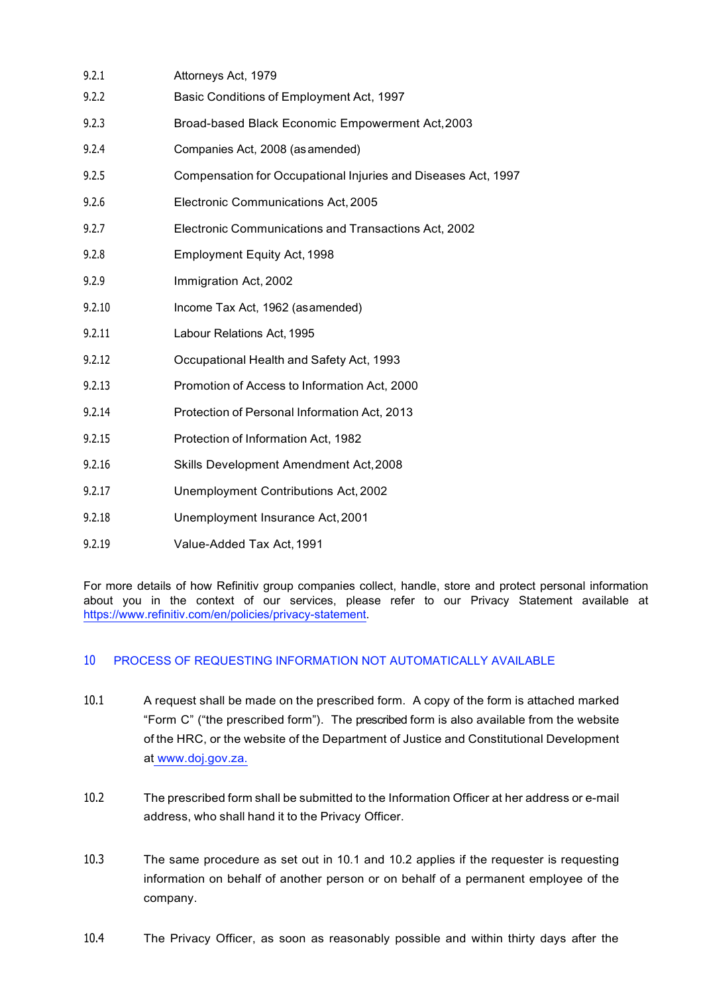<span id="page-7-1"></span>

| 9.2.1  | Attorneys Act, 1979                                           |
|--------|---------------------------------------------------------------|
| 9.2.2  | Basic Conditions of Employment Act, 1997                      |
| 9.2.3  | Broad-based Black Economic Empowerment Act, 2003              |
| 9.2.4  | Companies Act, 2008 (as amended)                              |
| 9.2.5  | Compensation for Occupational Injuries and Diseases Act, 1997 |
| 9.2.6  | Electronic Communications Act, 2005                           |
| 9.2.7  | Electronic Communications and Transactions Act, 2002          |
| 9.2.8  | <b>Employment Equity Act, 1998</b>                            |
| 9.2.9  | Immigration Act, 2002                                         |
| 9.2.10 | Income Tax Act, 1962 (asamended)                              |
| 9.2.11 | Labour Relations Act, 1995                                    |
| 9.2.12 | Occupational Health and Safety Act, 1993                      |
| 9.2.13 | Promotion of Access to Information Act, 2000                  |
| 9.2.14 | Protection of Personal Information Act, 2013                  |
| 9.2.15 | Protection of Information Act, 1982                           |
| 9.2.16 | Skills Development Amendment Act, 2008                        |
| 9.2.17 | Unemployment Contributions Act, 2002                          |
| 9.2.18 | Unemployment Insurance Act, 2001                              |
| 9.2.19 | Value-Added Tax Act, 1991                                     |

For more details of how Refinitiv group companies collect, handle, store and protect personal information about you in the context of our services, please refer to our Privacy Statement available at [https://www.refinitiv.com/en/policies/privacy-statement.](https://www.refinitiv.com/en/policies/privacy-statement)

### <span id="page-7-0"></span>10 PROCESS OF REQUESTING INFORMATION NOT AUTOMATICALLY AVAILABLE

- <span id="page-7-2"></span>10.1 A request shall be made on the prescribed form. A copy of the form is attached marked "Form C" ("the prescribed form"). The prescribed form is also available from the website of the HRC, or the website of the Department of Justice and Constitutional Development at www.doj.gov.za.
- <span id="page-7-3"></span>10.2 The prescribed form shall be submitted to the Information Officer at her address or e-mail address, who shall hand it to the Privacy Officer.
- 10.3 The same procedure as set out in [10.1](#page-7-2) and [10.2](#page-7-3) applies if the requester is requesting information on behalf of another person or on behalf of a permanent employee of the company.
- 10.4 The Privacy Officer, as soon as reasonably possible and within thirty days after the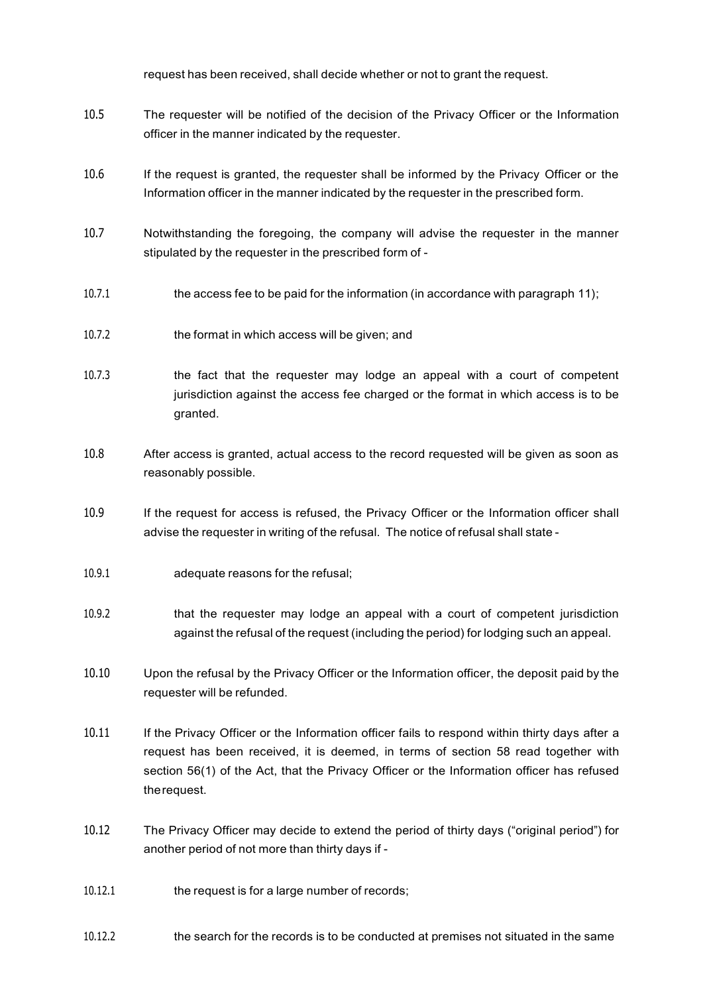request has been received, shall decide whether or not to grant the request.

- 10.5 The requester will be notified of the decision of the Privacy Officer or the Information officer in the manner indicated by the requester.
- 10.6 If the request is granted, the requester shall be informed by the Privacy Officer or the Information officer in the manner indicated by the requester in the prescribed form.
- 10.7 Notwithstanding the foregoing, the company will advise the requester in the manner stipulated by the requester in the prescribed form of -
- 10.7.1 the access fee to be paid for the information (in accordance with paragraph [11\)](#page-9-0);
- 10.7.2 the format in which access will be given; and
- 10.7.3 the fact that the requester may lodge an appeal with a court of competent jurisdiction against the access fee charged or the format in which access is to be granted.
- 10.8 After access is granted, actual access to the record requested will be given as soon as reasonably possible.
- 10.9 If the request for access is refused, the Privacy Officer or the Information officer shall advise the requester in writing of the refusal. The notice of refusal shall state -
- 10.9.1 adequate reasons for the refusal;
- 10.9.2 that the requester may lodge an appeal with a court of competent jurisdiction against the refusal of the request (including the period) for lodging such an appeal.
- 10.10 Upon the refusal by the Privacy Officer or the Information officer, the deposit paid by the requester will be refunded.
- 10.11 If the Privacy Officer or the Information officer fails to respond within thirty days after a request has been received, it is deemed, in terms of section 58 read together with section 56(1) of the Act, that the Privacy Officer or the Information officer has refused therequest.
- 10.12 The Privacy Officer may decide to extend the period of thirty days ("original period") for another period of not more than thirty days if -
- 10.12.1 the request is for a large number of records;
- 10.12.2 the search for the records is to be conducted at premises not situated in the same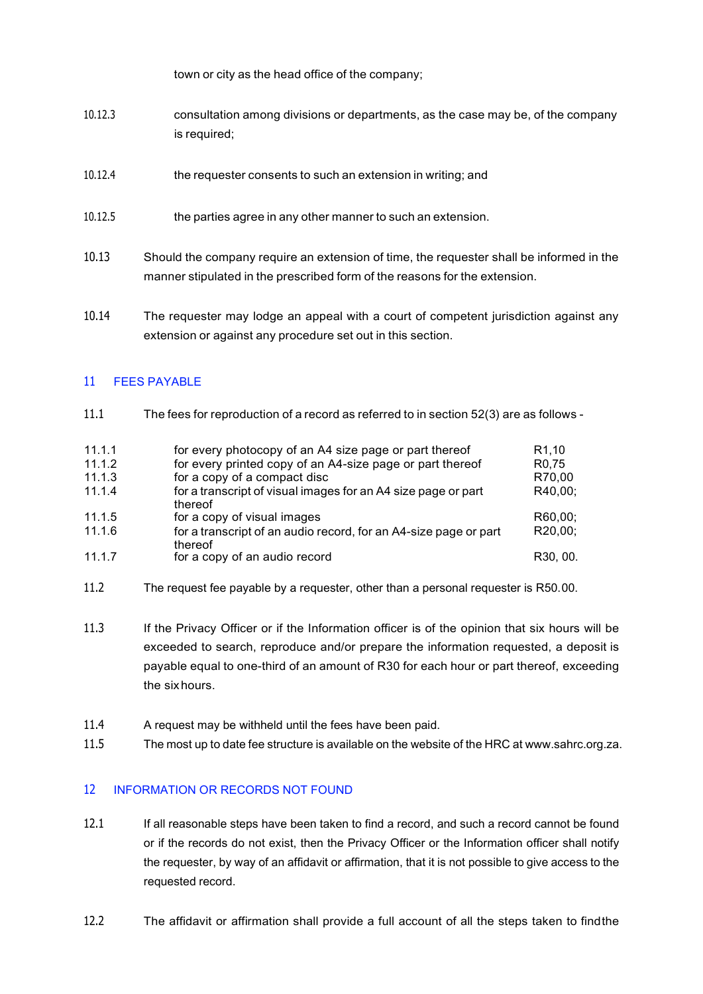town or city as the head office of the company;

- 10.12.3 consultation among divisions or departments, as the case may be, of the company is required;
- 10.12.4 the requester consents to such an extension in writing; and
- 10.12.5 the parties agree in any other manner to such an extension.
- 10.13 Should the company require an extension of time, the requester shall be informed in the manner stipulated in the prescribed form of the reasons for the extension.
- 10.14 The requester may lodge an appeal with a court of competent jurisdiction against any extension or against any procedure set out in this section.

### <span id="page-9-0"></span>11 FEES PAYABLE

11.1 The fees for reproduction of a record as referred to in section 52(3) are as follows -

| 11.1.1 | for every photocopy of an A4 size page or part thereof                      | R <sub>1.10</sub>  |
|--------|-----------------------------------------------------------------------------|--------------------|
| 11.1.2 | for every printed copy of an A4-size page or part thereof                   | R <sub>0</sub> .75 |
| 11.1.3 | for a copy of a compact disc                                                | R70.00             |
| 11.1.4 | for a transcript of visual images for an A4 size page or part<br>thereof    | R40,00;            |
| 11.1.5 | for a copy of visual images                                                 | R60.00:            |
| 11.1.6 | for a transcript of an audio record, for an A4-size page or part<br>thereof | R20,00;            |
| 11.1.7 | for a copy of an audio record                                               | R30, 00.           |

- 11.2 The request fee payable by a requester, other than a personal requester is R50.00.
- 11.3 If the Privacy Officer or if the Information officer is of the opinion that six hours will be exceeded to search, reproduce and/or prepare the information requested, a deposit is payable equal to one-third of an amount of R30 for each hour or part thereof, exceeding the sixhours.
- 11.4 A request may be withheld until the fees have been paid.
- 11.5 The most up to date fee structure is available on the website of the HRC at www.sahrc.org.za.

### <span id="page-9-2"></span><span id="page-9-1"></span>12 INFORMATION OR RECORDS NOT FOUND

- 12.1 If all reasonable steps have been taken to find a record, and such a record cannot be found or if the records do not exist, then the Privacy Officer or the Information officer shall notify the requester, by way of an affidavit or affirmation, that it is not possible to give access to the requested record.
- 12.2 The affidavit or affirmation shall provide a full account of all the steps taken to findthe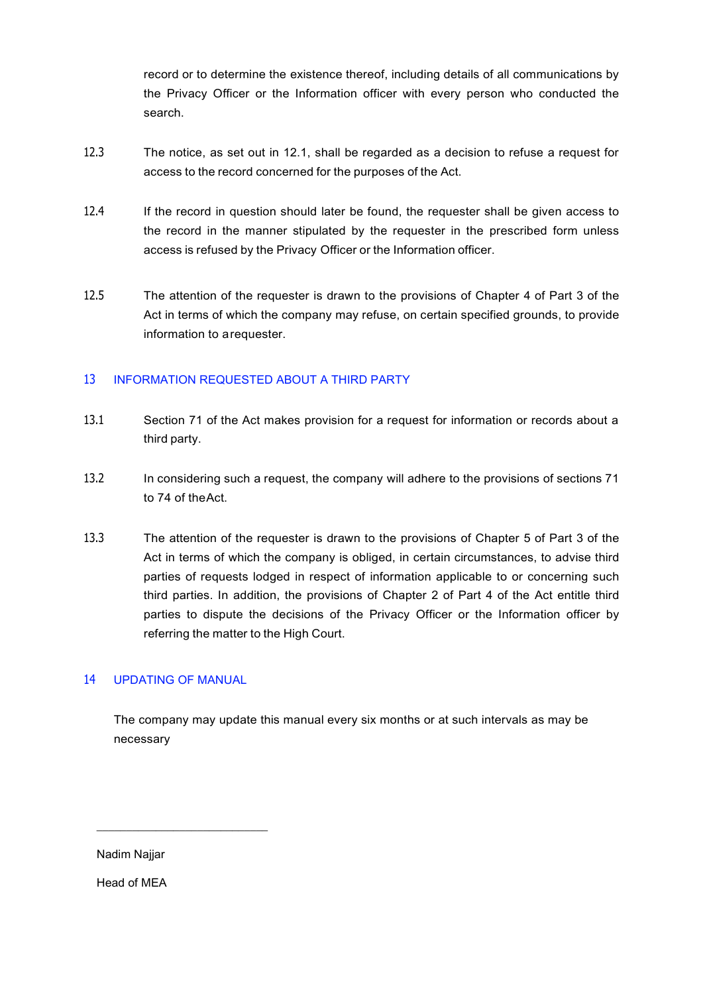record or to determine the existence thereof, including details of all communications by the Privacy Officer or the Information officer with every person who conducted the search.

- 12.3 The notice, as set out in [12.1, s](#page-9-2)hall be regarded as a decision to refuse a request for access to the record concerned for the purposes of the Act.
- 12.4 If the record in question should later be found, the requester shall be given access to the record in the manner stipulated by the requester in the prescribed form unless access is refused by the Privacy Officer or the Information officer.
- 12.5 The attention of the requester is drawn to the provisions of Chapter 4 of Part 3 of the Act in terms of which the company may refuse, on certain specified grounds, to provide information to arequester.

## <span id="page-10-0"></span>13 INFORMATION REQUESTED ABOUT A THIRD PARTY

- 13.1 Section 71 of the Act makes provision for a request for information or records about a third party.
- 13.2 In considering such a request, the company will adhere to the provisions of sections 71 to 74 of theAct.
- 13.3 The attention of the requester is drawn to the provisions of Chapter 5 of Part 3 of the Act in terms of which the company is obliged, in certain circumstances, to advise third parties of requests lodged in respect of information applicable to or concerning such third parties. In addition, the provisions of Chapter 2 of Part 4 of the Act entitle third parties to dispute the decisions of the Privacy Officer or the Information officer by referring the matter to the High Court.

### <span id="page-10-1"></span>14 UPDATING OF MANUAL

\_\_\_\_\_\_\_\_\_\_\_\_\_\_\_\_\_\_\_\_\_\_\_\_\_\_\_\_\_

The company may update this manual every six months or at such intervals as may be necessary

Nadim Najjar

Head of MEA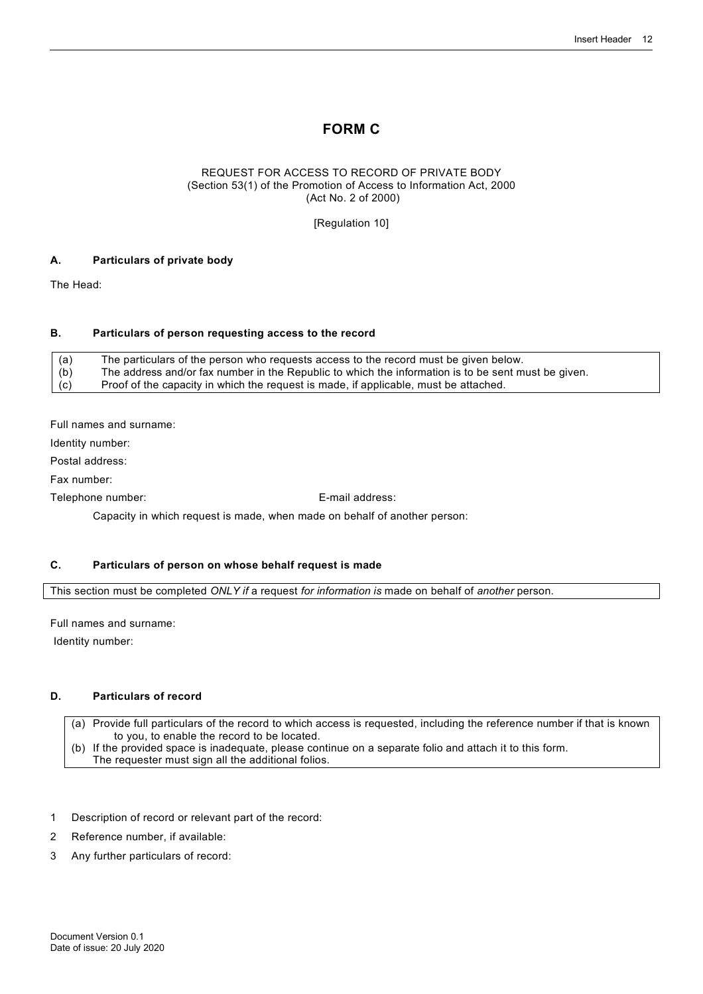## **FORM C**

#### REQUEST FOR ACCESS TO RECORD OF PRIVATE BODY (Section 53(1) of the Promotion of Access to Information Act, 2000 (Act No. 2 of 2000)

[Regulation 10]

#### **A. Particulars of private body**

The Head:

#### **B. Particulars of person requesting access to the record**

(a) The particulars of the person who requests access to the record must be given below. (b) The address and/or fax number in the Republic to which the information is to be sent must be given.<br>(c) Proof of the capacity in which the request is made, if applicable, must be attached. Proof of the capacity in which the request is made, if applicable, must be attached.

Full names and surname:

Identity number:

Postal address:

Fax number:

Telephone number: E-mail address:

Capacity in which request is made, when made on behalf of another person:

#### **C. Particulars of person on whose behalf request is made**

This section must be completed *ONLY if* a request *for information is* made on behalf of *another* person.

Full names and surname:

Identity number:

#### **D. Particulars of record**

(a) Provide full particulars of the record to which access is requested, including the reference number if that is known to you, to enable the record to be located. (b) If the provided space is inadequate, please continue on a separate folio and attach it to this form.

The requester must sign all the additional folios.

- 1 Description of record or relevant part of the record:
- 2 Reference number, if available:
- 3 Any further particulars of record: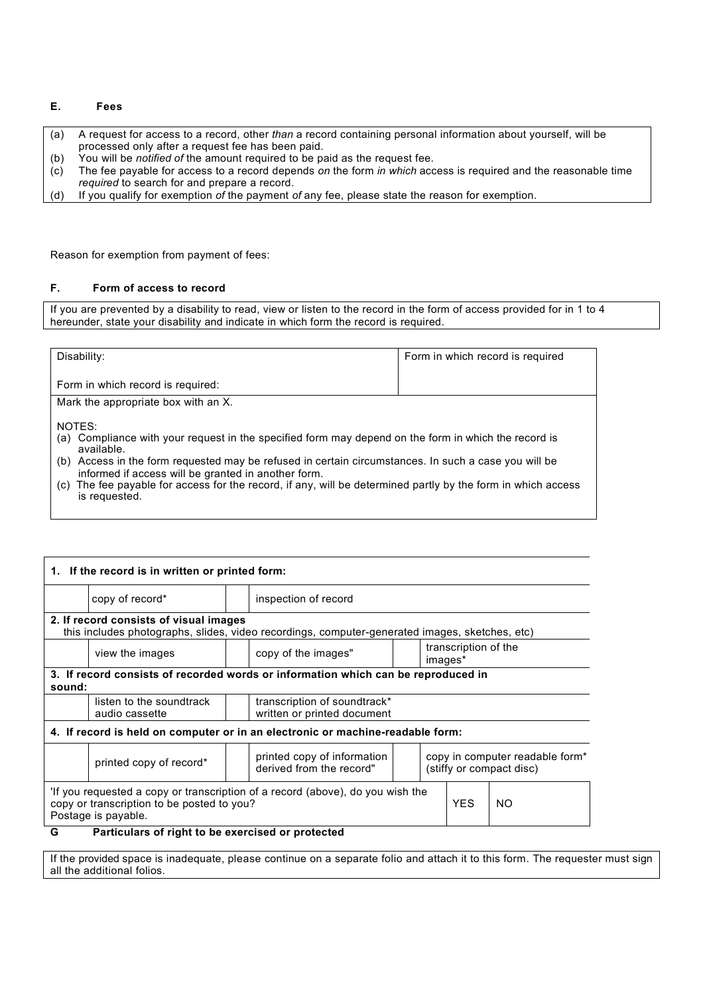#### **E. Fees**

- (a) A request for access to a record, other *than* a record containing personal information about yourself, will be processed only after a request fee has been paid.
- (b) You will be *notified of* the amount required to be paid as the request fee.

(c) The fee payable for access to a record depends *on* the form *in which* access is required and the reasonable time *required* to search for and prepare a record.

(d) If you qualify for exemption *of* the payment *of* any fee, please state the reason for exemption.

Reason for exemption from payment of fees:

#### **F. Form of access to record**

If you are prevented by a disability to read, view or listen to the record in the form of access provided for in 1 to 4 hereunder, state your disability and indicate in which form the record is required.

| Disability:                                                                                                                                                 | Form in which record is required |  |  |
|-------------------------------------------------------------------------------------------------------------------------------------------------------------|----------------------------------|--|--|
| Form in which record is required:                                                                                                                           |                                  |  |  |
| Mark the appropriate box with an X.                                                                                                                         |                                  |  |  |
| NOTES:<br>(a) Compliance with your request in the specified form may depend on the form in which the record is<br>available.                                |                                  |  |  |
| (b) Access in the form requested may be refused in certain circumstances. In such a case you will be<br>informed if access will be granted in another form. |                                  |  |  |
| (c) The fee payable for access for the record, if any, will be determined partly by the form in which access<br>is requested.                               |                                  |  |  |

| 1. If the record is in written or printed form:                                                                                                                  |                                                                                                           |  |                                                                                                |  |     |  |  |
|------------------------------------------------------------------------------------------------------------------------------------------------------------------|-----------------------------------------------------------------------------------------------------------|--|------------------------------------------------------------------------------------------------|--|-----|--|--|
|                                                                                                                                                                  | copy of record*                                                                                           |  | inspection of record                                                                           |  |     |  |  |
|                                                                                                                                                                  | 2. If record consists of visual images                                                                    |  | this includes photographs, slides, video recordings, computer-generated images, sketches, etc) |  |     |  |  |
|                                                                                                                                                                  | view the images                                                                                           |  | transcription of the<br>copy of the images"<br>images*                                         |  |     |  |  |
| sound:                                                                                                                                                           |                                                                                                           |  | 3. If record consists of recorded words or information which can be reproduced in              |  |     |  |  |
|                                                                                                                                                                  | listen to the soundtrack<br>transcription of soundtrack*<br>written or printed document<br>audio cassette |  |                                                                                                |  |     |  |  |
|                                                                                                                                                                  |                                                                                                           |  | 4. If record is held on computer or in an electronic or machine-readable form:                 |  |     |  |  |
| copy in computer readable form*<br>printed copy of information<br>printed copy of record*<br>derived from the record"<br>(stiffy or compact disc)                |                                                                                                           |  |                                                                                                |  |     |  |  |
| If you requested a copy or transcription of a record (above), do you wish the<br><b>YES</b><br>copy or transcription to be posted to you?<br>Postage is payable. |                                                                                                           |  |                                                                                                |  | NO. |  |  |
| G<br>Particulars of right to be exercised or protected                                                                                                           |                                                                                                           |  |                                                                                                |  |     |  |  |

If the provided space is inadequate, please continue on a separate folio and attach it to this form. The requester must sign all the additional folios.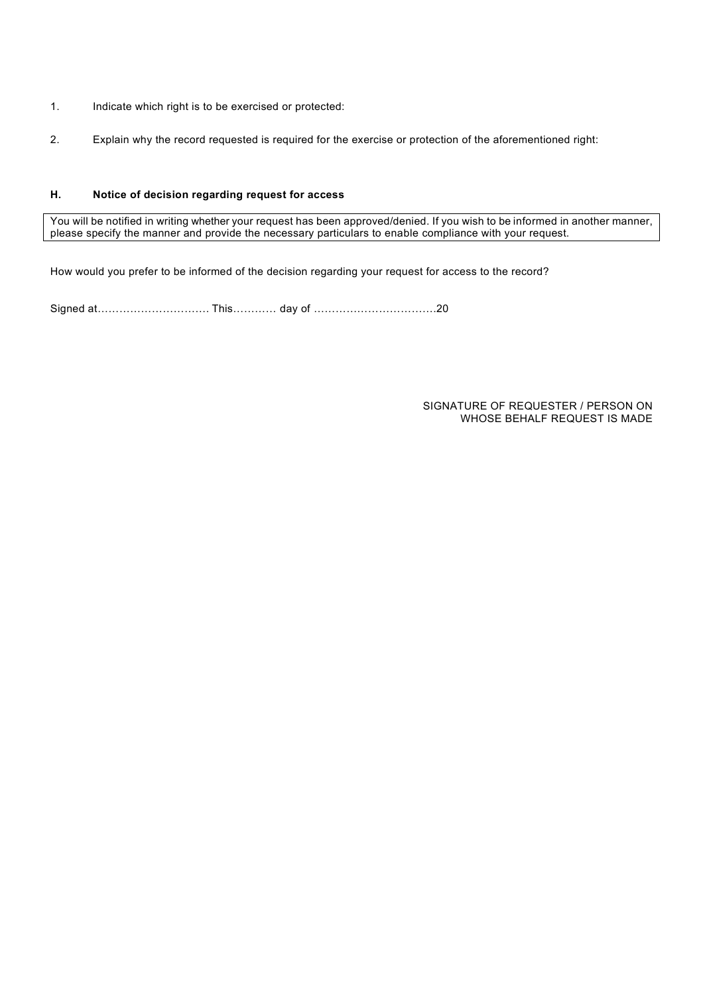- 1. Indicate which right is to be exercised or protected:
- 2. Explain why the record requested is required for the exercise or protection of the aforementioned right:

#### **H. Notice of decision regarding request for access**

You will be notified in writing whether your request has been approved/denied. If you wish to be informed in another manner, please specify the manner and provide the necessary particulars to enable compliance with your request.

How would you prefer to be informed of the decision regarding your request for access to the record?

Signed at…………………………. This………… day of …………………………….20

SIGNATURE OF REQUESTER / PERSON ON WHOSE BEHALF REQUEST IS MADE